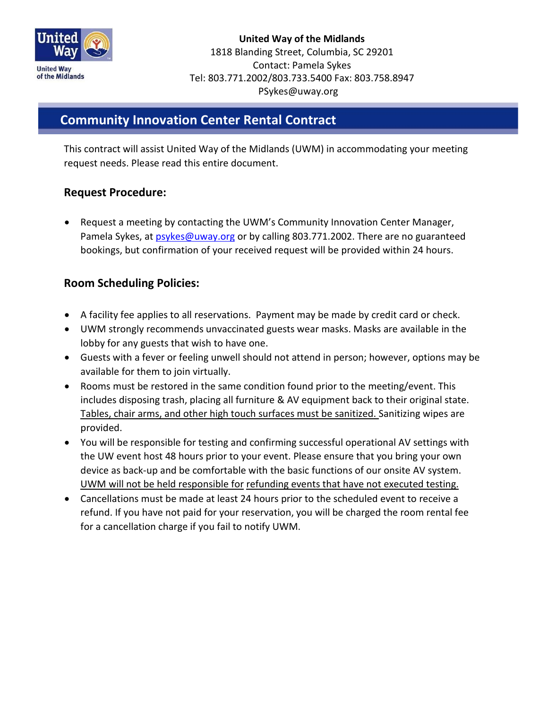

**United Way of the Midlands** 1818 Blanding Street, Columbia, SC 29201 Contact: Pamela Sykes Tel: 803.771.2002/803.733.5400 Fax: 803.758.8947 PSykes@uway.org

## **Community Innovation Center Rental Contract**

This contract will assist United Way of the Midlands (UWM) in accommodating your meeting request needs. Please read this entire document.

### **Request Procedure:**

l

• Request a meeting by contacting the UWM's Community Innovation Center Manager, Pamela Sykes, at psykes@uway.org or by calling 803.771.2002. There are no guaranteed bookings, but confirmation of your received request will be provided within 24 hours.

### **Room Scheduling Policies:**

- A facility fee applies to all reservations. Payment may be made by credit card or check.
- UWM strongly recommends unvaccinated guests wear masks. Masks are available in the lobby for any guests that wish to have one.
- Guests with a fever or feeling unwell should not attend in person; however, options may be available for them to join virtually.
- Rooms must be restored in the same condition found prior to the meeting/event. This includes disposing trash, placing all furniture & AV equipment back to their original state. Tables, chair arms, and other high touch surfaces must be sanitized. Sanitizing wipes are provided.
- You will be responsible for testing and confirming successful operational AV settings with the UW event host 48 hours prior to your event. Please ensure that you bring your own device as back-up and be comfortable with the basic functions of our onsite AV system. UWM will not be held responsible for refunding events that have not executed testing.
- Cancellations must be made at least 24 hours prior to the scheduled event to receive a refund. If you have not paid for your reservation, you will be charged the room rental fee for a cancellation charge if you fail to notify UWM.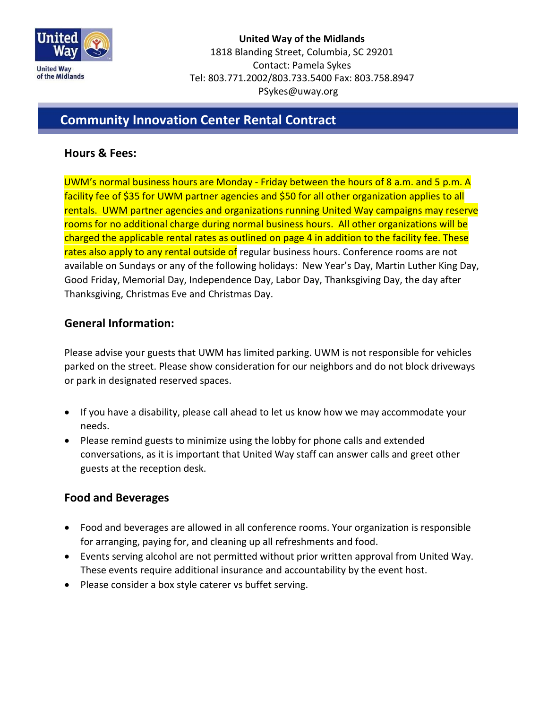

**United Way of the Midlands** 1818 Blanding Street, Columbia, SC 29201 Contact: Pamela Sykes Tel: 803.771.2002/803.733.5400 Fax: 803.758.8947 PSykes@uway.org

## **Community Innovation Center Rental Contract**

#### **Hours & Fees:**

l

UWM's normal business hours are Monday - Friday between the hours of 8 a.m. and 5 p.m. A facility fee of \$35 for UWM partner agencies and \$50 for all other organization applies to all rentals. UWM partner agencies and organizations running United Way campaigns may reserve rooms for no additional charge during normal business hours. All other organizations will be charged the applicable rental rates as outlined on page 4 in addition to the facility fee. These rates also apply to any rental outside of regular business hours. Conference rooms are not available on Sundays or any of the following holidays: New Year's Day, Martin Luther King Day, Good Friday, Memorial Day, Independence Day, Labor Day, Thanksgiving Day, the day after Thanksgiving, Christmas Eve and Christmas Day.

### **General Information:**

Please advise your guests that UWM has limited parking. UWM is not responsible for vehicles parked on the street. Please show consideration for our neighbors and do not block driveways or park in designated reserved spaces.

- If you have a disability, please call ahead to let us know how we may accommodate your needs.
- Please remind guests to minimize using the lobby for phone calls and extended conversations, as it is important that United Way staff can answer calls and greet other guests at the reception desk.

#### **Food and Beverages**

- Food and beverages are allowed in all conference rooms. Your organization is responsible for arranging, paying for, and cleaning up all refreshments and food.
- Events serving alcohol are not permitted without prior written approval from United Way. These events require additional insurance and accountability by the event host.
- Please consider a box style caterer vs buffet serving.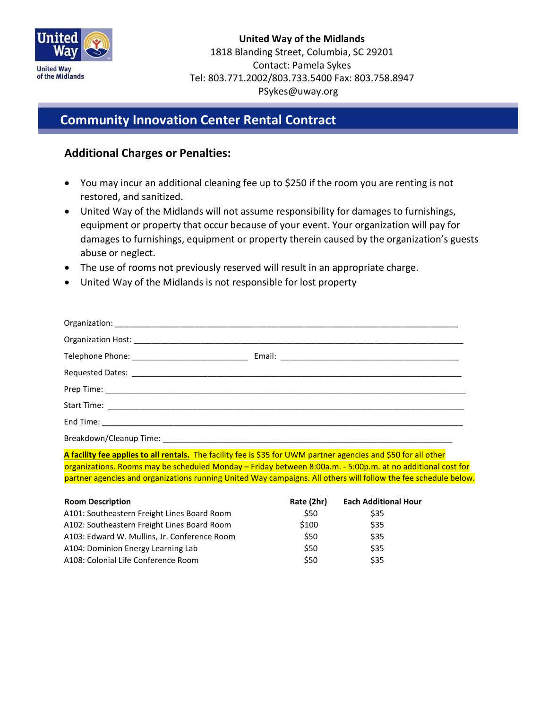

## **Community Innovation Center Rental Contract**

### **Additional Charges or Penalties:**

l

- You may incur an additional cleaning fee up to \$250 if the room you are renting is not restored, and sanitized.
- United Way of the Midlands will not assume responsibility for damages to furnishings, equipment or property that occur because of your event. Your organization will pay for damages to furnishings, equipment or property therein caused by the organization's guests abuse or neglect.
- The use of rooms not previously reserved will result in an appropriate charge.
- United Way of the Midlands is not responsible for lost property

| Breakdown/Cleanup Time: |  |
|-------------------------|--|

**A facility fee applies to all rentals.** The facility fee is \$35 for UWM partner agencies and \$50 for all other organizations. Rooms may be scheduled Monday – Friday between 8:00a.m. - 5:00p.m. at no additional cost for partner agencies and organizations running United Way campaigns. All others will follow the fee schedule below.

| <b>Room Description</b>                      | Rate (2hr) | <b>Each Additional Hour</b> |
|----------------------------------------------|------------|-----------------------------|
| A101: Southeastern Freight Lines Board Room  | \$50       | \$35                        |
| A102: Southeastern Freight Lines Board Room  | \$100      | \$35                        |
| A103: Edward W. Mullins, Jr. Conference Room | \$50       | \$35                        |
| A104: Dominion Energy Learning Lab           | \$50       | \$35                        |
| A108: Colonial Life Conference Room          | \$50       | \$35                        |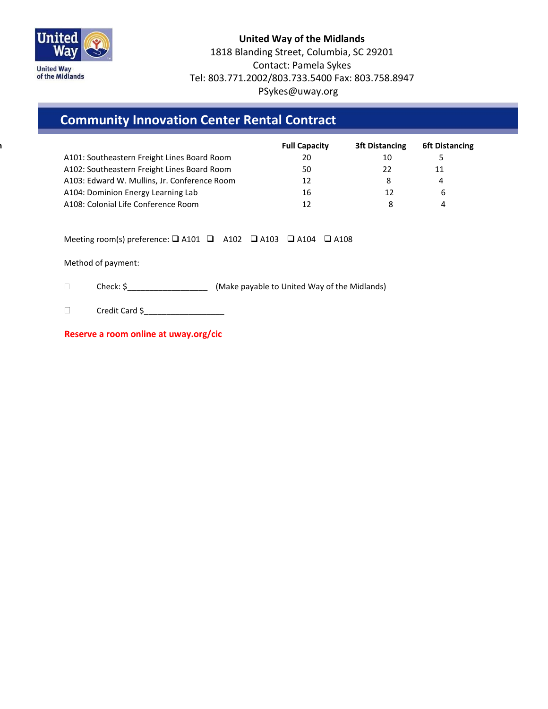

#### **United Way of the Midlands** 1818 Blanding Street, Columbia, SC 29201 Contact: Pamela Sykes Tel: 803.771.2002/803.733.5400 Fax: 803.758.8947 PSykes@uway.org

# **Community Innovation Center Rental Contract**

|                                              | <b>Full Capacity</b> | <b>3ft Distancing</b> | <b>6ft Distancing</b> |
|----------------------------------------------|----------------------|-----------------------|-----------------------|
| A101: Southeastern Freight Lines Board Room  | 20                   | 10                    |                       |
| A102: Southeastern Freight Lines Board Room  | 50                   | 22                    | 11                    |
| A103: Edward W. Mullins, Jr. Conference Room | 12                   | 8                     | 4                     |
| A104: Dominion Energy Learning Lab           | 16                   | 12                    | b                     |
| A108: Colonial Life Conference Room          |                      |                       |                       |

Meeting room(s) preference:  $\Box$  A101  $\Box$  A102  $\Box$  A103  $\Box$  A104  $\Box$  A108

Method of payment:

l

Check: \$\_\_\_\_\_\_\_\_\_\_\_\_\_\_\_\_\_\_ (Make payable to United Way of the Midlands)

Credit Card \$\_\_\_\_\_\_\_\_\_\_\_\_\_\_\_\_\_\_

**Reserve a room online at uway.org/cic**